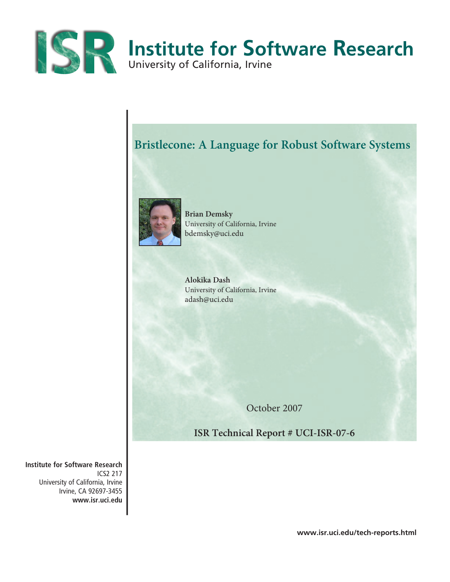

# **Bristlecone: A Language for Robust Software Systems**



**Brian Demsky**  University of California, Irvine bdemsky@uci.edu

**Alokika Dash**  University of California, Irvine adash@uci.edu

October 2007

**ISR Technical Report # UCI-ISR-07-6**

**Institute for Software Research** ICS2 217 University of California, Irvine Irvine, CA 92697-3455 **www.isr.uci.edu**

**www.isr.uci.edu/tech-reports.html**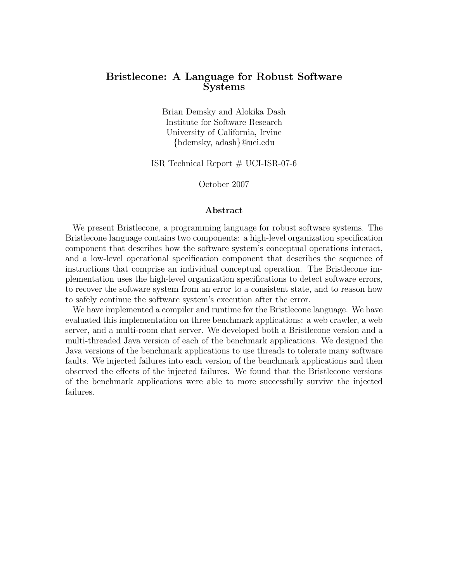# Bristlecone: A Language for Robust Software Systems

Brian Demsky and Alokika Dash Institute for Software Research University of California, Irvine {bdemsky, adash}@uci.edu

ISR Technical Report # UCI-ISR-07-6

October 2007

## Abstract

We present Bristlecone, a programming language for robust software systems. The Bristlecone language contains two components: a high-level organization specification component that describes how the software system's conceptual operations interact, and a low-level operational specification component that describes the sequence of instructions that comprise an individual conceptual operation. The Bristlecone implementation uses the high-level organization specifications to detect software errors, to recover the software system from an error to a consistent state, and to reason how to safely continue the software system's execution after the error.

We have implemented a compiler and runtime for the Bristlecone language. We have evaluated this implementation on three benchmark applications: a web crawler, a web server, and a multi-room chat server. We developed both a Bristlecone version and a multi-threaded Java version of each of the benchmark applications. We designed the Java versions of the benchmark applications to use threads to tolerate many software faults. We injected failures into each version of the benchmark applications and then observed the effects of the injected failures. We found that the Bristlecone versions of the benchmark applications were able to more successfully survive the injected failures.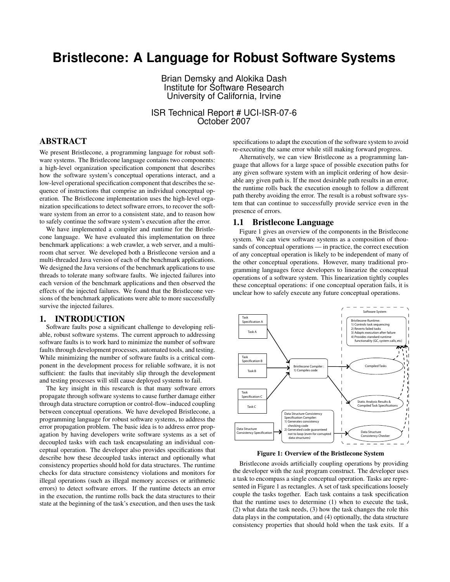# **Bristlecone: A Language for Robust Software Systems**

Brian Demsky and Alokika Dash Institute for Software Research University of California, Irvine

ISR Technical Report # UCI-ISR-07-6 October 2007

## ABSTRACT

We present Bristlecone, a programming language for robust software systems. The Bristlecone language contains two components: a high-level organization specification component that describes how the software system's conceptual operations interact, and a low-level operational specification component that describes the sequence of instructions that comprise an individual conceptual operation. The Bristlecone implementation uses the high-level organization specifications to detect software errors, to recover the software system from an error to a consistent state, and to reason how to safely continue the software system's execution after the error.

We have implemented a compiler and runtime for the Bristlecone language. We have evaluated this implementation on three benchmark applications: a web crawler, a web server, and a multiroom chat server. We developed both a Bristlecone version and a multi-threaded Java version of each of the benchmark applications. We designed the Java versions of the benchmark applications to use threads to tolerate many software faults. We injected failures into each version of the benchmark applications and then observed the effects of the injected failures. We found that the Bristlecone versions of the benchmark applications were able to more successfully survive the injected failures.

## 1. INTRODUCTION

Software faults pose a significant challenge to developing reliable, robust software systems. The current approach to addressing software faults is to work hard to minimize the number of software faults through development processes, automated tools, and testing. While minimizing the number of software faults is a critical component in the development process for reliable software, it is not sufficient: the faults that inevitably slip through the development and testing processes will still cause deployed systems to fail.

The key insight in this research is that many software errors propagate through software systems to cause further damage either through data structure corruption or control-flow–induced coupling between conceptual operations. We have developed Bristlecone, a programming language for robust software systems, to address the error propagation problem. The basic idea is to address error propagation by having developers write software systems as a set of decoupled tasks with each task encapsulating an individual conceptual operation. The developer also provides specifications that describe how these decoupled tasks interact and optionally what consistency properties should hold for data structures. The runtime checks for data structure consistency violations and monitors for illegal operations (such as illegal memory accesses or arithmetic errors) to detect software errors. If the runtime detects an error in the execution, the runtime rolls back the data structures to their state at the beginning of the task's execution, and then uses the task

specifications to adapt the execution of the software system to avoid re-executing the same error while still making forward progress.

Alternatively, we can view Bristlecone as a programming language that allows for a large space of possible execution paths for any given software system with an implicit ordering of how desirable any given path is. If the most desirable path results in an error, the runtime rolls back the execution enough to follow a different path thereby avoiding the error. The result is a robust software system that can continue to successfully provide service even in the presence of errors.

## 1.1 Bristlecone Language

Figure 1 gives an overview of the components in the Bristlecone system. We can view software systems as a composition of thousands of conceptual operations — in practice, the correct execution of any conceptual operation is likely to be independent of many of the other conceptual operations. However, many traditional programming languages force developers to linearize the conceptual operations of a software system. This linearization tightly couples these conceptual operations: if one conceptual operation fails, it is unclear how to safely execute any future conceptual operations.



#### Figure 1: Overview of the Bristlecone System

Bristlecone avoids artificially coupling operations by providing the developer with the *task* program construct. The developer uses a task to encompass a single conceptual operation. Tasks are represented in Figure 1 as rectangles. A set of task specifications loosely couple the tasks together. Each task contains a task specification that the runtime uses to determine (1) when to execute the task, (2) what data the task needs, (3) how the task changes the role this data plays in the computation, and (4) optionally, the data structure consistency properties that should hold when the task exits. If a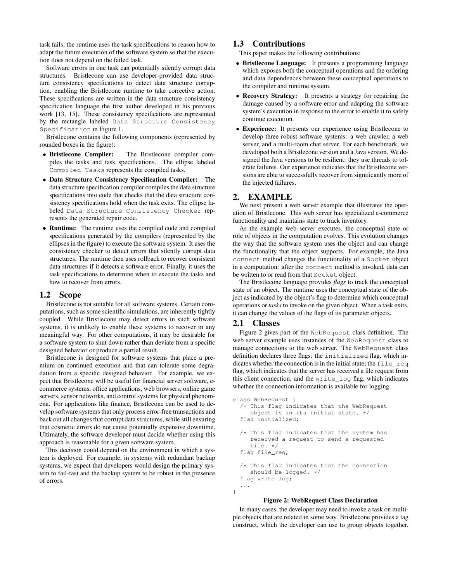task fails, the runtime uses the task specifications to reason how to adapt the future execution of the software system so that the execution does not depend on the failed task.

Software errors in one task can potentially silently corrupt data structures. Bristlecone can use developer-provided data structure consistency specifications to detect data structure corruption, enabling the Bristlecone runtime to take corrective action. These specifications are written in the data structure consistency specification language the first author developed in his previous work [13, 15]. These consistency specifications are represented by the rectangle labeled Data Structure Consistency Specification in Figure 1.

Bristlecone contains the following components (represented by rounded boxes in the figure):

- Bristlecone Compiler: The Bristlecone compiler compiles the tasks and task specifications. The ellipse labeled Compiled Tasks represents the compiled tasks.
- Data Structure Consistency Specification Compiler: The data structure specification compiler compiles the data structure specifications into code that checks that the data structure consistency specifications hold when the task exits. The ellipse labeled Data Structure Consistency Checker represents the generated repair code.
- Runtime: The runtime uses the compiled code and compiled specifications generated by the compilers (represented by the ellipses in the figure) to execute the software system. It uses the consistency checker to detect errors that silently corrupt data structures. The runtime then uses rollback to recover consistent data structures if it detects a software error. Finally, it uses the task specifications to determine when to execute the tasks and how to recover from errors.

## 1.2 Scope

Bristlecone is not suitable for all software systems. Certain computations, such as some scientific simulations, are inherently tightly coupled. While Bristlecone may detect errors in such software systems, it is unlikely to enable these systems to recover in any meaningful way. For other computations, it may be desirable for a software system to shut down rather than deviate from a specific designed behavior or produce a partial result.

Bristlecone is designed for software systems that place a premium on continued execution and that can tolerate some degradation from a specific designed behavior. For example, we expect that Bristlecone will be useful for financial server software, ecommerce systems, office applications, web browsers, online game servers, sensor networks, and control systems for physical phenomena. For applications like finance, Bristlecone can be used to develop software systems that only process error-free transactions and back out all changes that corrupt data structures, while still ensuring that cosmetic errors do not cause potentially expensive downtime. Ultimately, the software developer must decide whether using this approach is reasonable for a given software system.

This decision could depend on the environment in which a system is deployed. For example, in systems with redundant backup systems, we expect that developers would design the primary system to fail-fast and the backup system to be robust in the presence of errors.

## 1.3 Contributions

This paper makes the following contributions:

- Bristlecone Language: It presents a programming language which exposes both the conceptual operations and the ordering and data dependences between these conceptual operations to the compiler and runtime system.
- Recovery Strategy: It presents a strategy for repairing the damage caused by a software error and adapting the software system's execution in response to the error to enable it to safely continue execution.
- Experience: It presents our experience using Bristlecone to develop three robust software systems: a web crawler, a web server, and a multi-room chat server. For each benchmark, we developed both a Bristlecone version and a Java version. We designed the Java versions to be resilient: they use threads to tolerate failures. Our experience indicates that the Bristlecone versions are able to successfully recover from significantly more of the injected failures.

#### 2. EXAMPLE

We next present a web server example that illustrates the operation of Bristlecone. This web server has specialized e-commerce functionality and maintains state to track inventory.

As the example web server executes, the conceptual state or role of objects in the computation evolves. This evolution changes the way that the software system uses the object and can change the functionality that the object supports. For example, the Java connect method changes the functionality of a Socket object in a computation: after the connect method is invoked, data can be written to or read from that Socket object.

The Bristlecone language provides *flags* to track the conceptual state of an object. The runtime uses the conceptual state of the object as indicated by the object's flag to determine which conceptual operations or *tasks* to invoke on the given object. When a task exits, it can change the values of the flags of its parameter objects.

#### 2.1 Classes

Figure 2 gives part of the WebRequest class definition. The web server example uses instances of the WebRequest class to manage connections to the web server. The WebRequest class definition declares three flags: the initialized flag, which indicates whether the connection is in the initial state; the file\_req flag, which indicates that the server has received a file request from this client connection; and the write\_log flag, which indicates whether the connection information is available for logging.

```
class WebRequest {
  /* This flag indicates that the WebRequest
     object is in its initial state. */
  flag initialized;
  /* This flag indicates that the system has
     received a request to send a requested
     file. */
  flag file_req;
  /* This flag indicates that the connection
     should be logged. */
  flag write_log;
  ...
}
```
#### Figure 2: WebRequest Class Declaration

In many cases, the developer may need to invoke a task on multiple objects that are related in some way. Bristlecone provides a tag construct, which the developer can use to group objects together.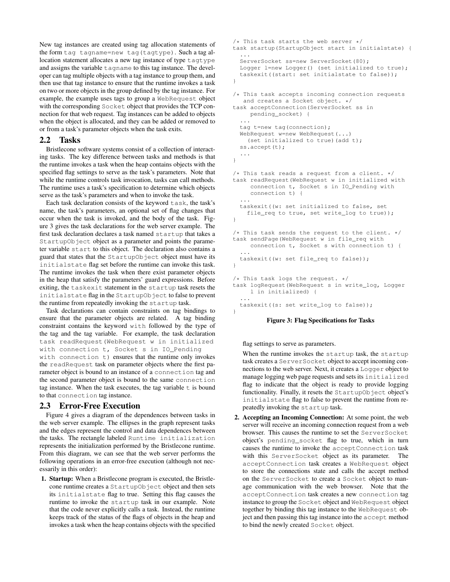New tag instances are created using tag allocation statements of the form tag tagname=new tag(tagtype). Such a tag allocation statement allocates a new tag instance of type tagtype and assigns the variable tagname to this tag instance. The developer can tag multiple objects with a tag instance to group them, and then use that tag instance to ensure that the runtime invokes a task on two or more objects in the group defined by the tag instance. For example, the example uses tags to group a WebRequest object with the corresponding Socket object that provides the TCP connection for that web request. Tag instances can be added to objects when the object is allocated, and they can be added or removed to or from a task's parameter objects when the task exits.

## 2.2 Tasks

Bristlecone software systems consist of a collection of interacting tasks. The key difference between tasks and methods is that the runtime invokes a task when the heap contains objects with the specified flag settings to serve as the task's parameters. Note that while the runtime controls task invocation, tasks can call methods. The runtime uses a task's specification to determine which objects serve as the task's parameters and when to invoke the task.

Each task declaration consists of the keyword task, the task's name, the task's parameters, an optional set of flag changes that occur when the task is invoked, and the body of the task. Figure 3 gives the task declarations for the web server example. The first task declaration declares a task named startup that takes a StartupObject object as a parameter and points the parameter variable start to this object. The declaration also contains a guard that states that the StartupObject object must have its initialstate flag set before the runtime can invoke this task. The runtime invokes the task when there exist parameter objects in the heap that satisfy the parameters' guard expressions. Before exiting, the taskexit statement in the startup task resets the initialstate flag in the StartupObject to false to prevent the runtime from repeatedly invoking the startup task.

Task declarations can contain constraints on tag bindings to ensure that the parameter objects are related. A tag binding constraint contains the keyword with followed by the type of the tag and the tag variable. For example, the task declaration task readRequest(WebRequest w in initialized with connection t, Socket s in IO\_Pending with connection t) ensures that the runtime only invokes the readRequest task on parameter objects where the first parameter object is bound to an instance of a connection tag and the second parameter object is bound to the same connection tag instance. When the task executes, the tag variable  $t$  is bound to that connection tag instance.

## 2.3 Error-Free Execution

Figure 4 gives a diagram of the dependences between tasks in the web server example. The ellipses in the graph represent tasks and the edges represent the control and data dependences between the tasks. The rectangle labeled Runtime initialization represents the initialization performed by the Bristlecone runtime. From this diagram, we can see that the web server performs the following operations in an error-free execution (although not necessarily in this order):

1. Startup: When a Bristlecone program is executed, the Bristlecone runtime creates a StartupObject object and then sets its initialstate flag to true. Setting this flag causes the runtime to invoke the startup task in our example. Note that the code never explicitly calls a task. Instead, the runtime keeps track of the status of the flags of objects in the heap and invokes a task when the heap contains objects with the specified

```
/* This task starts the web server */task startup(StartupObject start in initialstate) {
  ...
  ServerSocket ss=new ServerSocket (80);
  Logger l=new Logger() (set initialized to true);
  taskexit((start: set initialstate to false));
}
/* This task accepts incoming connection requests
   and creates a Socket object. */
task acceptConnection(ServerSocket ss in
    pending_socket) {
  tag t=new tag(connection);
  WebRequest w=new WebRequest(...)
    (set initialized to true) (add t);
  ss.accept(t);
  ...
}
/* This task reads a request from a client. */task readRequest(WebRequest w in initialized with
     connection t, Socket s in IO_Pending with
     connection t) {
  ...
  taskexit((w: set initialized to false, set
    file_req to true, set write_log to true));
}
/* This task sends the request to the client. */
task sendPage(WebRequest w in file_req with
     connection t, Socket s with connection t) {
  ...
  taskexit((w: set file_req to false));
}
/* This task logs the request. */task logRequest(WebRequest s in write_log, Logger
     l in initialized) {
  ...
  taskexit((s: set write_log to false));
}
```


flag settings to serve as parameters.

When the runtime invokes the startup task, the startup task creates a ServerSocket object to accept incoming connections to the web server. Next, it creates a Logger object to manage logging web page requests and sets its initialized flag to indicate that the object is ready to provide logging functionality. Finally, it resets the StartupObject object's initialstate flag to false to prevent the runtime from repeatedly invoking the startup task.

2. Accepting an Incoming Connection: At some point, the web server will receive an incoming connection request from a web browser. This causes the runtime to set the ServerSocket object's pending\_socket flag to true, which in turn causes the runtime to invoke the acceptConnection task with this ServerSocket object as its parameter. The acceptConnection task creates a WebRequest object to store the connections state and calls the accept method on the ServerSocket to create a Socket object to manage communication with the web browser. Note that the acceptConnection task creates a new connection tag instance to group the Socket object and WebRequest object together by binding this tag instance to the WebRequest object and then passing this tag instance into the accept method to bind the newly created Socket object.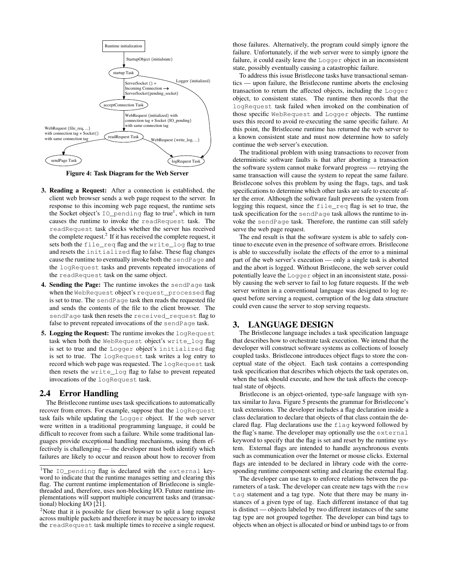

Figure 4: Task Diagram for the Web Server

- 3. Reading a Request: After a connection is established, the client web browser sends a web page request to the server. In response to this incoming web page request, the runtime sets the Socket object's IO\_pending flag to true<sup>1</sup>, which in turn causes the runtime to invoke the readRequest task. The readRequest task checks whether the server has received the complete request. $2$  If it has received the complete request, it sets both the file\_req flag and the write\_log flag to true and resets the initialized flag to false. These flag changes cause the runtime to eventually invoke both the sendPage and the logRequest tasks and prevents repeated invocations of the readRequest task on the same object.
- 4. Sending the Page: The runtime invokes the sendPage task when the WebRequest object's request\_processed flag is set to true. The sendPage task then reads the requested file and sends the contents of the file to the client browser. The sendPage task then resets the received\_request flag to false to prevent repeated invocations of the sendPage task.
- 5. Logging the Request: The runtime invokes the logRequest task when both the WebRequest object's write\_log flag is set to true and the Logger object's initialized flag is set to true. The logRequest task writes a log entry to record which web page was requested. The logRequest task then resets the write\_log flag to false to prevent repeated invocations of the logRequest task.

## 2.4 Error Handling

The Bristlecone runtime uses task specifications to automatically recover from errors. For example, suppose that the logRequest task fails while updating the Logger object. If the web server were written in a traditional programming language, it could be difficult to recover from such a failure. While some traditional languages provide exceptional handling mechanisms, using them effectively is challenging — the developer must both identify which failures are likely to occur and reason about how to recover from those failures. Alternatively, the program could simply ignore the failure. Unfortunately, if the web server were to simply ignore the failure, it could easily leave the Logger object in an inconsistent state, possibly eventually causing a catastrophic failure.

To address this issue Bristlecone tasks have transactional semantics — upon failure, the Bristlecone runtime aborts the enclosing transaction to return the affected objects, including the Logger object, to consistent states. The runtime then records that the logRequest task failed when invoked on the combination of those specific WebRequest and Logger objects. The runtime uses this record to avoid re-executing the same specific failure. At this point, the Bristlecone runtime has returned the web server to a known consistent state and must now determine how to safely continue the web server's execution.

The traditional problem with using transactions to recover from deterministic software faults is that after aborting a transaction the software system cannot make forward progress — retrying the same transaction will cause the system to repeat the same failure. Bristlecone solves this problem by using the flags, tags, and task specifications to determine which other tasks are safe to execute after the error. Although the software fault prevents the system from logging this request, since the file\_req flag is set to true, the task specification for the sendPage task allows the runtime to invoke the sendPage task. Therefore, the runtime can still safely serve the web page request.

The end result is that the software system is able to safely continue to execute even in the presence of software errors. Bristlecone is able to successfully isolate the effects of the error to a minimal part of the web server's execution — only a single task is aborted and the abort is logged. Without Bristlecone, the web server could potentially leave the Logger object in an inconsistent state, possibly causing the web server to fail to log future requests. If the web server written in a conventional language was designed to log request before serving a request, corruption of the log data structure could even cause the server to stop serving requests.

## 3. LANGUAGE DESIGN

The Bristlecone language includes a task specification language that describes how to orchestrate task execution. We intend that the developer will construct software systems as collections of loosely coupled tasks. Bristlecone introduces object flags to store the conceptual state of the object. Each task contains a corresponding task specification that describes which objects the task operates on, when the task should execute, and how the task affects the conceptual state of objects.

Bristlecone is an object-oriented, type-safe language with syntax similar to Java. Figure 5 presents the grammar for Bristlecone's task extensions. The developer includes a flag declaration inside a class declaration to declare that objects of that class contain the declared flag. Flag declarations use the flag keyword followed by the flag's name. The developer may optionally use the external keyword to specify that the flag is set and reset by the runtime system. External flags are intended to handle asynchronous events such as communication over the Internet or mouse clicks. External flags are intended to be declared in library code with the corresponding runtime component setting and clearing the external flag.

The developer can use tags to enforce relations between the parameters of a task. The developer can create new tags with the new tag statement and a tag type. Note that there may be many instances of a given type of tag. Each different instance of that tag is distinct — objects labeled by two different instances of the same tag type are not grouped together. The developer can bind tags to objects when an object is allocated or bind or unbind tags to or from

<sup>&</sup>lt;sup>1</sup>The IO\_pending flag is declared with the external keyword to indicate that the runtime manages setting and clearing this flag. The current runtime implementation of Bristlecone is singlethreaded and, therefore, uses non-blocking I/O. Future runtime implementations will support multiple concurrent tasks and (transactional) blocking  $I/O$   $[21]$ .

 $2$ Note that it is possible for client browser to split a long request across multiple packets and therefore it may be necessary to invoke the readRequest task multiple times to receive a single request.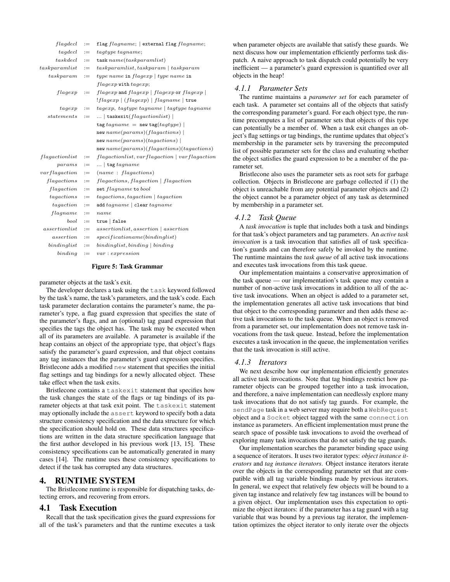| flagdecl       | $:=$     | flag $flagname$ ;   external flag $flagname$ ;        |  |
|----------------|----------|-------------------------------------------------------|--|
| taqdecl        | $:=$     | tagtype tagname;                                      |  |
| task decl      | $:=$     | task paramel task paramlist)                          |  |
| taskparamlist  | $:=$     | $taskparamlist, taskparam \mid taskparam$             |  |
| taskparam      | $:=$     | type name in flagexp $\vert$ type name in             |  |
|                |          | $flagexp$ with $tagexp$ ;                             |  |
| flagexp        | $\;:=\;$ | $flagexp$ and $flagexp   flagexp$ or $flagexp  $      |  |
|                |          | $!flagexp   (flagexp)   flagname   true$              |  |
| tager          | $:=$     | $tagexp, tagtype\ tagname   tagtype\ tagname$         |  |
| statements     | $:=$     | taskexit $(flagactionlist)$                           |  |
|                |          | $tagtagger = new tag(tagtype)$                        |  |
|                |          | new $name(params)(flagactions)$                       |  |
|                |          | new $name(params)(tagactions)$                        |  |
|                |          | new $name(params)(flagactions)(tagactions)$           |  |
| flagactionlist | $:=$     | $flag action list, var flag action   var flag action$ |  |
| params         | $:=$     | $\ldots$ tag tagname                                  |  |
| varflagaction  | $:=$     | (name : flagactions)                                  |  |
| flagactions    | $:=$     | flagactions, flagaction   flagaction                  |  |
| flagaction     | $:=$     | set <i>flagname</i> to bool                           |  |
| tagactions     | $:=$     | $tagactions, tagaction \mid tagaction$                |  |
| tagaction      | $:=$     | add $tagname$   clear $tagname$                       |  |
| flagname       | $:=$     | name                                                  |  |
| bool           | $:=$     | true   false                                          |  |
| assertionlist  | $:=$     | $assertionlist, assertion \mid assertion$             |  |
| assertion      | $:=$     | specificationame(bindinglist)                         |  |
| binding list   | $:=$     | $binding$ , binding   binding                         |  |
| binding        | $:=$     | var: expression                                       |  |
|                |          |                                                       |  |

#### Figure 5: Task Grammar

parameter objects at the task's exit.

The developer declares a task using the task keyword followed by the task's name, the task's parameters, and the task's code. Each task parameter declaration contains the parameter's name, the parameter's type, a flag guard expression that specifies the state of the parameter's flags, and an (optional) tag guard expression that specifies the tags the object has. The task may be executed when all of its parameters are available. A parameter is available if the heap contains an object of the appropriate type, that object's flags satisfy the parameter's guard expression, and that object contains any tag instances that the parameter's guard expression specifies. Bristlecone adds a modified new statement that specifies the initial flag settings and tag bindings for a newly allocated object. These take effect when the task exits.

Bristlecone contains a taskexit statement that specifies how the task changes the state of the flags or tag bindings of its parameter objects at that task exit point. The taskexit statement may optionally include the assert keyword to specify both a data structure consistency specification and the data structure for which the specification should hold on. These data structures specifications are written in the data structure specification language that the first author developed in his previous work [13, 15]. These consistency specifications can be automatically generated in many cases [14]. The runtime uses these consistency specifications to detect if the task has corrupted any data structures.

## 4. RUNTIME SYSTEM

The Bristlecone runtime is responsible for dispatching tasks, detecting errors, and recovering from errors.

#### 4.1 Task Execution

Recall that the task specification gives the guard expressions for all of the task's parameters and that the runtime executes a task when parameter objects are available that satisfy these guards. We next discuss how our implementation efficiently performs task dispatch. A naive approach to task dispatch could potentially be very inefficient — a parameter's guard expression is quantified over all objects in the heap!

#### *4.1.1 Parameter Sets*

The runtime maintains a *parameter set* for each parameter of each task. A parameter set contains all of the objects that satisfy the corresponding parameter's guard. For each object type, the runtime precomputes a list of parameter sets that objects of this type can potentially be a member of. When a task exit changes an object's flag settings or tag bindings, the runtime updates that object's membership in the parameter sets by traversing the precomputed list of possible parameter sets for the class and evaluating whether the object satisfies the guard expression to be a member of the parameter set.

Bristlecone also uses the parameter sets as root sets for garbage collection. Objects in Bristlecone are garbage collected if (1) the object is unreachable from any potential parameter objects and (2) the object cannot be a parameter object of any task as determined by membership in a parameter set.

#### *4.1.2 Task Queue*

A *task invocation* is tuple that includes both a task and bindings for that task's object parameters and tag parameters. An *active task invocation* is a task invocation that satisfies all of task specification's guards and can therefore safely be invoked by the runtime. The runtime maintains the *task queue* of all active task invocations and executes task invocations from this task queue.

Our implementation maintains a conservative approximation of the task queue — our implementation's task queue may contain a number of non-active task invocations in addition to all of the active task invocations. When an object is added to a parameter set, the implementation generates all active task invocations that bind that object to the corresponding parameter and then adds these active task invocations to the task queue. When an object is removed from a parameter set, our implementation does not remove task invocations from the task queue. Instead, before the implementation executes a task invocation in the queue, the implementation verifies that the task invocation is still active.

#### *4.1.3 Iterators*

We next describe how our implementation efficiently generates all active task invocations. Note that tag bindings restrict how parameter objects can be grouped together into a task invocation, and therefore, a naive implementation can needlessly explore many task invocations that do not satisfy tag guards. For example, the sendPage task in a web server may require both a WebRequest object and a Socket object tagged with the same connection instance as parameters. An efficient implementation must prune the search space of possible task invocations to avoid the overhead of exploring many task invocations that do not satisfy the tag guards.

Our implementation searches the parameter binding space using a sequence of iterators. It uses two iterator types: *object instance iterators* and *tag instance iterators*. Object instance iterators iterate over the objects in the corresponding parameter set that are compatible with all tag variable bindings made by previous iterators. In general, we expect that relatively few objects will be bound to a given tag instance and relatively few tag instances will be bound to a given object. Our implementation uses this expectation to optimize the object iterators: if the parameter has a tag guard with a tag variable that was bound by a previous tag iterator, the implementation optimizes the object iterator to only iterate over the objects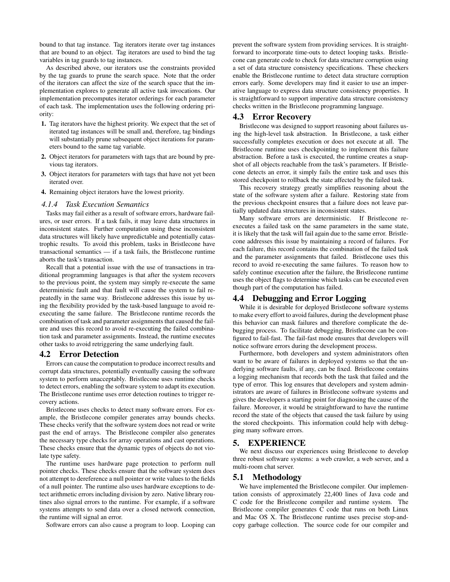bound to that tag instance. Tag iterators iterate over tag instances that are bound to an object. Tag iterators are used to bind the tag variables in tag guards to tag instances.

As described above, our iterators use the constraints provided by the tag guards to prune the search space. Note that the order of the iterators can affect the size of the search space that the implementation explores to generate all active task invocations. Our implementation precomputes iterator orderings for each parameter of each task. The implementation uses the following ordering priority:

- 1. Tag iterators have the highest priority. We expect that the set of iterated tag instances will be small and, therefore, tag bindings will substantially prune subsequent object iterations for parameters bound to the same tag variable.
- 2. Object iterators for parameters with tags that are bound by previous tag iterators.
- 3. Object iterators for parameters with tags that have not yet been iterated over.
- 4. Remaining object iterators have the lowest priority.

#### *4.1.4 Task Execution Semantics*

Tasks may fail either as a result of software errors, hardware failures, or user errors. If a task fails, it may leave data structures in inconsistent states. Further computation using these inconsistent data structures will likely have unpredictable and potentially catastrophic results. To avoid this problem, tasks in Bristlecone have transactional semantics — if a task fails, the Bristlecone runtime aborts the task's transaction.

Recall that a potential issue with the use of transactions in traditional programming languages is that after the system recovers to the previous point, the system may simply re-execute the same deterministic fault and that fault will cause the system to fail repeatedly in the same way. Bristlecone addresses this issue by using the flexibility provided by the task-based language to avoid reexecuting the same failure. The Bristlecone runtime records the combination of task and parameter assignments that caused the failure and uses this record to avoid re-executing the failed combination task and parameter assignments. Instead, the runtime executes other tasks to avoid retriggering the same underlying fault.

#### 4.2 Error Detection

Errors can cause the computation to produce incorrect results and corrupt data structures, potentially eventually causing the software system to perform unacceptably. Bristlecone uses runtime checks to detect errors, enabling the software system to adapt its execution. The Bristlecone runtime uses error detection routines to trigger recovery actions.

Bristlecone uses checks to detect many software errors. For example, the Bristlecone compiler generates array bounds checks. These checks verify that the software system does not read or write past the end of arrays. The Bristlecone compiler also generates the necessary type checks for array operations and cast operations. These checks ensure that the dynamic types of objects do not violate type safety.

The runtime uses hardware page protection to perform null pointer checks. These checks ensure that the software system does not attempt to dereference a null pointer or write values to the fields of a null pointer. The runtime also uses hardware exceptions to detect arithmetic errors including division by zero. Native library routines also signal errors to the runtime. For example, if a software systems attempts to send data over a closed network connection, the runtime will signal an error.

Software errors can also cause a program to loop. Looping can

prevent the software system from providing services. It is straightforward to incorporate time-outs to detect looping tasks. Bristlecone can generate code to check for data structure corruption using a set of data structure consistency specifications. These checkers enable the Bristlecone runtime to detect data structure corruption errors early. Some developers may find it easier to use an imperative language to express data structure consistency properties. It is straightforward to support imperative data structure consistency checks written in the Bristlecone programming language.

#### 4.3 Error Recovery

Bristlecone was designed to support reasoning about failures using the high-level task abstraction. In Bristlecone, a task either successfully completes execution or does not execute at all. The Bristlecone runtime uses checkpointing to implement this failure abstraction. Before a task is executed, the runtime creates a snapshot of all objects reachable from the task's parameters. If Bristlecone detects an error, it simply fails the entire task and uses this stored checkpoint to rollback the state affected by the failed task.

This recovery strategy greatly simplifies reasoning about the state of the software system after a failure. Restoring state from the previous checkpoint ensures that a failure does not leave partially updated data structures in inconsistent states.

Many software errors are deterministic. If Bristlecone reexecutes a failed task on the same parameters in the same state, it is likely that the task will fail again due to the same error. Bristlecone addresses this issue by maintaining a record of failures. For each failure, this record contains the combination of the failed task and the parameter assignments that failed. Bristlecone uses this record to avoid re-executing the same failures. To reason how to safely continue execution after the failure, the Bristlecone runtime uses the object flags to determine which tasks can be executed even though part of the computation has failed.

## 4.4 Debugging and Error Logging

While it is desirable for deployed Bristlecone software systems to make every effort to avoid failures, during the development phase this behavior can mask failures and therefore complicate the debugging process. To facilitate debugging, Bristlecone can be configured to fail-fast. The fail-fast mode ensures that developers will notice software errors during the development process.

Furthermore, both developers and system administrators often want to be aware of failures in deployed systems so that the underlying software faults, if any, can be fixed. Bristlecone contains a logging mechanism that records both the task that failed and the type of error. This log ensures that developers and system administrators are aware of failures in Bristlecone software systems and gives the developers a starting point for diagnosing the cause of the failure. Moreover, it would be straightforward to have the runtime record the state of the objects that caused the task failure by using the stored checkpoints. This information could help with debugging many software errors.

#### 5. EXPERIENCE

We next discuss our experiences using Bristlecone to develop three robust software systems: a web crawler, a web server, and a multi-room chat server.

#### 5.1 Methodology

We have implemented the Bristlecone compiler. Our implementation consists of approximately 22,400 lines of Java code and C code for the Bristlecone compiler and runtime system. The Bristlecone compiler generates C code that runs on both Linux and Mac OS X. The Bristlecone runtime uses precise stop-andcopy garbage collection. The source code for our compiler and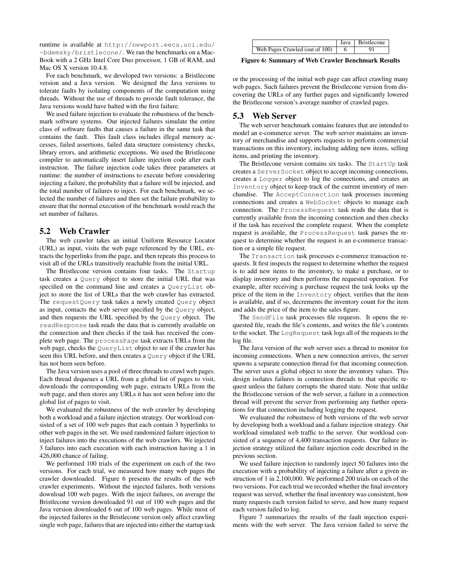runtime is available at http://newport.eecs.uci.edu/ ~bdemsky/bristlecone/. We ran the benchmarks on a Mac-Book with a 2 GHz Intel Core Duo processor, 1 GB of RAM, and Mac OS X version 10.4.8.

For each benchmark, we developed two versions: a Bristlecone version and a Java version. We designed the Java versions to tolerate faults by isolating components of the computation using threads. Without the use of threads to provide fault tolerance, the Java versions would have halted with the first failure.

We used failure injection to evaluate the robustness of the benchmark software systems. Our injected failures simulate the entire class of software faults that causes a failure in the same task that contains the fault. This fault class includes illegal memory accesses, failed assertions, failed data structure consistency checks, library errors, and arithmetic exceptions. We used the Bristlecone compiler to automatically insert failure injection code after each instruction. The failure injection code takes three parameters at runtime: the number of instructions to execute before considering injecting a failure, the probability that a failure will be injected, and the total number of failures to inject. For each benchmark, we selected the number of failures and then set the failure probability to ensure that the normal execution of the benchmark would reach the set number of failures.

## 5.2 Web Crawler

The web crawler takes an initial Uniform Resource Locator (URL) as input, visits the web page referenced by the URL, extracts the hyperlinks from the page, and then repeats this process to visit all of the URLs transitively reachable from the initial URL.

The Bristlecone version contains four tasks. The Startup task creates a Query object to store the initial URL that was specified on the command line and creates a QueryList object to store the list of URLs that the web crawler has extracted. The requestQuery task takes a newly created Query object as input, contacts the web server specified by the Query object, and then requests the URL specified by the Query object. The readResponse task reads the data that is currently available on the connection and then checks if the task has received the complete web page. The processPage task extracts URLs from the web page, checks the QueryList object to see if the crawler has seen this URL before, and then creates a Query object if the URL has not been seen before.

The Java version uses a pool of three threads to crawl web pages. Each thread dequeues a URL from a global list of pages to visit, downloads the corresponding web page, extracts URLs from the web page, and then stores any URLs it has not seen before into the global list of pages to visit.

We evaluated the robustness of the web crawler by developing both a workload and a failure injection strategy. Our workload consisted of a set of 100 web pages that each contain 3 hyperlinks to other web pages in the set. We used randomized failure injection to inject failures into the executions of the web crawlers. We injected 3 failures into each execution with each instruction having a 1 in 426,000 chance of failing.

We performed 100 trials of the experiment on each of the two versions. For each trial, we measured how many web pages the crawler downloaded. Figure 6 presents the results of the web crawler experiments. Without the injected failures, both versions download 100 web pages. With the inject failures, on average the Bristlecone version downloaded 91 out of 100 web pages and the Java version downloaded 6 out of 100 web pages. While most of the injected failures in the Bristlecone version only affect crawling single web page, failures that are injected into either the startup task

|                                |  | Java Bristlecone |
|--------------------------------|--|------------------|
| Web Pages Crawled (out of 100) |  |                  |

Figure 6: Summary of Web Crawler Benchmark Results

or the processing of the initial web page can affect crawling many web pages. Such failures prevent the Bristlecone version from discovering the URLs of any further pages and significantly lowered the Bristlecone version's average number of crawled pages.

## 5.3 Web Server

The web server benchmark contains features that are intended to model an e-commerce server. The web server maintains an inventory of merchandise and supports requests to perform commercial transactions on this inventory, including adding new items, selling items, and printing the inventory.

The Bristlecone version contains six tasks. The StartUp task creates a ServerSocket object to accept incoming connections, creates a Logger object to log the connections, and creates an Inventory object to keep track of the current inventory of merchandise. The AcceptConnection task processes incoming connections and creates a WebSocket objects to manage each connection. The ProcessRequest task reads the data that is currently available from the incoming connection and then checks if the task has received the complete request. When the complete request is available, the ProcessRequest task parses the request to determine whether the request is an e-commerce transaction or a simple file request.

The Transaction task processes e-commerce transaction requests. It first inspects the request to determine whether the request is to add new items to the inventory, to make a purchase, or to display inventory and then performs the requested operation. For example, after receiving a purchase request the task looks up the price of the item in the Inventory object, verifies that the item is available, and if so, decrements the inventory count for the item and adds the price of the item to the sales figure.

The SendFile task processes file requests. It opens the requested file, reads the file's contents, and writes the file's contents to the socket. The LogRequest task logs all of the requests to the log file.

The Java version of the web server uses a thread to monitor for incoming connections. When a new connection arrives, the server spawns a separate connection thread for that incoming connection. The server uses a global object to store the inventory values. This design isolates failures in connection threads to that specific request unless the failure corrupts the shared state. Note that unlike the Bristlecone version of the web server, a failure in a connection thread will prevent the server from performing any further operations for that connection including logging the request.

We evaluated the robustness of both versions of the web server by developing both a workload and a failure injection strategy. Our workload simulated web traffic to the server. Our workload consisted of a sequence of 4,400 transaction requests. Our failure injection strategy utilized the failure injection code described in the previous section.

We used failure injection to randomly inject 50 failures into the execution with a probability of injecting a failure after a given instruction of 1 in 2,100,000. We performed 200 trials on each of the two versions. For each trial we recorded whether the final inventory request was served, whether the final inventory was consistent, how many requests each version failed to serve, and how many request each version failed to log.

Figure 7 summarizes the results of the fault injection experiments with the web server. The Java version failed to serve the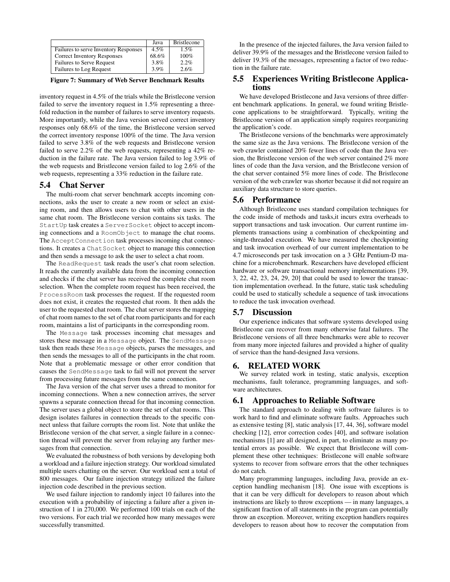|                                              | Java    | <b>Bristlecone</b> |
|----------------------------------------------|---------|--------------------|
| <b>Failures to serve Inventory Responses</b> | $4.5\%$ | 1.5%               |
| <b>Correct Inventory Responses</b>           | 68.6%   | 100%               |
| <b>Failures to Serve Request</b>             | 3.8%    | 2.2%               |
| Failures to Log Request                      | 3.9%    | 2.6%               |

Figure 7: Summary of Web Server Benchmark Results

inventory request in 4.5% of the trials while the Bristlecone version failed to serve the inventory request in 1.5% representing a threefold reduction in the number of failures to serve inventory requests. More importantly, while the Java version served correct inventory responses only 68.6% of the time, the Bristlecone version served the correct inventory response 100% of the time. The Java version failed to serve 3.8% of the web requests and Bristlecone version failed to serve 2.2% of the web requests, representing a 42% reduction in the failure rate. The Java version failed to log 3.9% of the web requests and Bristlecone version failed to log 2.6% of the web requests, representing a 33% reduction in the failure rate.

## 5.4 Chat Server

The multi-room chat server benchmark accepts incoming connections, asks the user to create a new room or select an existing room, and then allows users to chat with other users in the same chat room. The Bristlecone version contains six tasks. The StartUp task creates a ServerSocket object to accept incoming connections and a RoomObject to manage the chat rooms. The AcceptConnection task processes incoming chat connections. It creates a ChatSocket object to manage this connection and then sends a message to ask the user to select a chat room.

The ReadRequest task reads the user's chat room selection. It reads the currently available data from the incoming connection and checks if the chat server has received the complete chat room selection. When the complete room request has been received, the ProcessRoom task processes the request. If the requested room does not exist, it creates the requested chat room. It then adds the user to the requested chat room. The chat server stores the mapping of chat room names to the set of chat room participants and for each room, maintains a list of participants in the corresponding room.

The Message task processes incoming chat messages and stores these message in a Message object. The SendMessage task then reads these Message objects, parses the messages, and then sends the messages to all of the participants in the chat room. Note that a problematic message or other error condition that causes the SendMessage task to fail will not prevent the server from processing future messages from the same connection.

The Java version of the chat server uses a thread to monitor for incoming connections. When a new connection arrives, the server spawns a separate connection thread for that incoming connection. The server uses a global object to store the set of chat rooms. This design isolates failures in connection threads to the specific connect unless that failure corrupts the room list. Note that unlike the Bristlecone version of the chat server, a single failure in a connection thread will prevent the server from relaying any further messages from that connection.

We evaluated the robustness of both versions by developing both a workload and a failure injection strategy. Our workload simulated multiple users chatting on the server. Our workload sent a total of 800 messages. Our failure injection strategy utilized the failure injection code described in the previous section.

We used failure injection to randomly inject 10 failures into the execution with a probability of injecting a failure after a given instruction of 1 in 270,000. We performed 100 trials on each of the two versions. For each trial we recorded how many messages were successfully transmitted.

In the presence of the injected failures, the Java version failed to deliver 39.9% of the messages and the Bristlecone version failed to deliver 19.3% of the messages, representing a factor of two reduction in the failure rate.

## 5.5 Experiences Writing Bristlecone Applications

We have developed Bristlecone and Java versions of three different benchmark applications. In general, we found writing Bristlecone applications to be straightforward. Typically, writing the Bristlecone version of an application simply requires reorganizing the application's code.

The Bristlecone versions of the benchmarks were approximately the same size as the Java versions. The Bristlecone version of the web crawler contained 20% fewer lines of code than the Java version, the Bristlecone version of the web server contained 2% more lines of code than the Java version, and the Bristlecone version of the chat server contained 5% more lines of code. The Bristlecone version of the web crawler was shorter because it did not require an auxiliary data structure to store queries.

#### 5.6 Performance

Although Bristlecone uses standard compilation techniques for the code inside of methods and tasks,it incurs extra overheads to support transactions and task invocation. Our current runtime implements transactions using a combination of checkpointing and single-threaded execution. We have measured the checkpointing and task invocation overhead of our current implementation to be 4.7 microseconds per task invocation on a 3 GHz Pentium-D machine for a microbenchmark. Researchers have developed efficient hardware or software transactional memory implementations [39, 3, 22, 42, 23, 24, 29, 20] that could be used to lower the transaction implementation overhead. In the future, static task scheduling could be used to statically schedule a sequence of task invocations to reduce the task invocation overhead.

#### 5.7 Discussion

Our experience indicates that software systems developed using Bristlecone can recover from many otherwise fatal failures. The Bristlecone versions of all three benchmarks were able to recover from many more injected failures and provided a higher of quality of service than the hand-designed Java versions.

#### 6. RELATED WORK

We survey related work in testing, static analysis, exception mechanisms, fault tolerance, programming languages, and software architectures.

#### 6.1 Approaches to Reliable Software

The standard approach to dealing with software failures is to work hard to find and eliminate software faults. Approaches such as extensive testing [8], static analysis [17, 44, 36], software model checking [12], error correction codes [40], and software isolation mechanisms [1] are all designed, in part, to eliminate as many potential errors as possible. We expect that Bristlecone will complement these other techniques: Bristlecone will enable software systems to recover from software errors that the other techniques do not catch.

Many programming languages, including Java, provide an exception handling mechanism [18]. One issue with exceptions is that it can be very difficult for developers to reason about which instructions are likely to throw exceptions — in many languages, a significant fraction of all statements in the program can potentially throw an exception. Moreover, writing exception handlers requires developers to reason about how to recover the computation from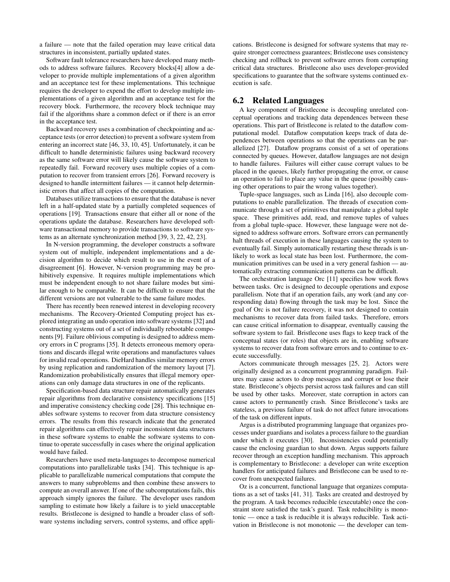a failure — note that the failed operation may leave critical data structures in inconsistent, partially updated states.

Software fault tolerance researchers have developed many methods to address software failures. Recovery blocks[4] allow a developer to provide multiple implementations of a given algorithm and an acceptance test for these implementations. This technique requires the developer to expend the effort to develop multiple implementations of a given algorithm and an acceptance test for the recovery block. Furthermore, the recovery block technique may fail if the algorithms share a common defect or if there is an error in the acceptance test.

Backward recovery uses a combination of checkpointing and acceptance tests (or error detection) to prevent a software system from entering an incorrect state [46, 33, 10, 45]. Unfortunately, it can be difficult to handle deterministic failures using backward recovery as the same software error will likely cause the software system to repeatedly fail. Forward recovery uses multiple copies of a computation to recover from transient errors [26]. Forward recovery is designed to handle intermittent failures — it cannot help deterministic errors that affect all copies of the computation.

Databases utilize transactions to ensure that the database is never left in a half-updated state by a partially completed sequences of operations [19]. Transactions ensure that either all or none of the operations update the database. Researchers have developed software transactional memory to provide transactions to software systems as an alternate synchronization method [39, 3, 22, 42, 23].

In N-version programming, the developer constructs a software system out of multiple, independent implementations and a decision algorithm to decide which result to use in the event of a disagreement [6]. However, N-version programming may be prohibitively expensive. It requires multiple implementations which must be independent enough to not share failure modes but similar enough to be comparable. It can be difficult to ensure that the different versions are not vulnerable to the same failure modes.

There has recently been renewed interest in developing recovery mechanisms. The Recovery-Oriented Computing project has explored integrating an undo operation into software systems [32] and constructing systems out of a set of individually rebootable components [9]. Failure oblivious computing is designed to address memory errors in C programs [35]. It detects erroneous memory operations and discards illegal write operations and manufactures values for invalid read operations. DieHard handles similar memory errors by using replication and randomization of the memory layout [7]. Randomization probabilistically ensures that illegal memory operations can only damage data structures in one of the replicants.

Specification-based data structure repair automatically generates repair algorithms from declarative consistency specifications [15] and imperative consistency checking code [28]. This technique enables software systems to recover from data structure consistency errors. The results from this research indicate that the generated repair algorithms can effectively repair inconsistent data structures in these software systems to enable the software systems to continue to operate successfully in cases where the original application would have failed.

Researchers have used meta-languages to decompose numerical computations into parallelizable tasks [34]. This technique is applicable to parallelizable numerical computations that compute the answers to many subproblems and then combine these answers to compute an overall answer. If one of the subcomputations fails, this approach simply ignores the failure. The developer uses random sampling to estimate how likely a failure is to yield unacceptable results. Bristlecone is designed to handle a broader class of software systems including servers, control systems, and office applications. Bristlecone is designed for software systems that may require stronger correctness guarantees; Bristlecone uses consistency checking and rollback to prevent software errors from corrupting critical data structures. Bristlecone also uses developer-provided specifications to guarantee that the software systems continued execution is safe.

## 6.2 Related Languages

A key component of Bristlecone is decoupling unrelated conceptual operations and tracking data dependences between these operations. This part of Bristlecone is related to the dataflow computational model. Dataflow computation keeps track of data dependences between operations so that the operations can be parallelized [27]. Dataflow programs consist of a set of operations connected by queues. However, dataflow languages are not design to handle failures. Failures will either cause corrupt values to be placed in the queues, likely further propagating the error, or cause an operation to fail to place any value in the queue (possibly causing other operations to pair the wrong values together).

Tuple-space languages, such as Linda [16], also decouple computations to enable parallelization. The threads of execution communicate through a set of primitives that manipulate a global tuple space. These primitives add, read, and remove tuples of values from a global tuple-space. However, these language were not designed to address software errors. Software errors can permanently halt threads of execution in these languages causing the system to eventually fail. Simply automatically restarting these threads is unlikely to work as local state has been lost. Furthermore, the communication primitives can be used in a very general fashion — automatically extracting communication patterns can be difficult.

The orchestration language Orc [11] specifies how work flows between tasks. Orc is designed to decouple operations and expose parallelism. Note that if an operation fails, any work (and any corresponding data) flowing through the task may be lost. Since the goal of Orc is not failure recovery, it was not designed to contain mechanisms to recover data from failed tasks. Therefore, errors can cause critical information to disappear, eventually causing the software system to fail. Bristlecone uses flags to keep track of the conceptual states (or roles) that objects are in, enabling software systems to recover data from software errors and to continue to execute successfully.

Actors communicate through messages [25, 2]. Actors were originally designed as a concurrent programming paradigm. Failures may cause actors to drop messages and corrupt or lose their state. Bristlecone's objects persist across task failures and can still be used by other tasks. Moreover, state corruption in actors can cause actors to permanently crash. Since Bristlecone's tasks are stateless, a previous failure of task do not affect future invocations of the task on different inputs.

Argus is a distributed programming language that organizes processes under guardians and isolates a process failure to the guardian under which it executes [30]. Inconsistencies could potentially cause the enclosing guardian to shut down. Argus supports failure recover through an exception handling mechanism. This approach is complementary to Bristlecone: a developer can write exception handlers for anticipated failures and Bristlecone can be used to recover from unexpected failures.

Oz is a concurrent, functional language that organizes computations as a set of tasks [41, 31]. Tasks are created and destroyed by the program. A task becomes reducible (executable) once the constraint store satisfied the task's guard. Task reducibility is monotonic — once a task is reducible it is always reducible. Task activation in Bristlecone is not monotonic — the developer can tem